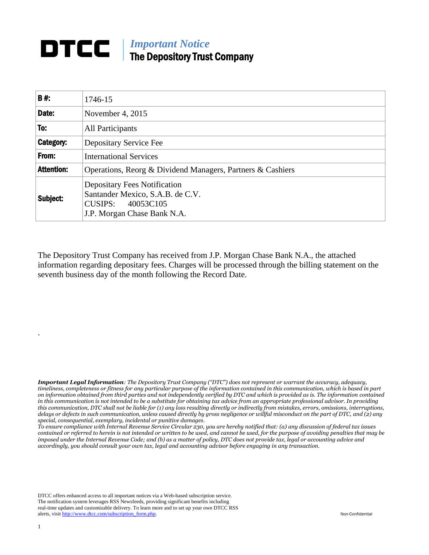## *Important Notice* The Depository Trust Company

| B#:               | 1746-15                                                                                                                        |  |  |  |  |  |
|-------------------|--------------------------------------------------------------------------------------------------------------------------------|--|--|--|--|--|
| Date:             | November 4, $2015$                                                                                                             |  |  |  |  |  |
| To:               | All Participants                                                                                                               |  |  |  |  |  |
| Category:         | Depositary Service Fee                                                                                                         |  |  |  |  |  |
| From:             | <b>International Services</b>                                                                                                  |  |  |  |  |  |
| <b>Attention:</b> | Operations, Reorg & Dividend Managers, Partners & Cashiers                                                                     |  |  |  |  |  |
| Subject:          | <b>Depositary Fees Notification</b><br>Santander Mexico, S.A.B. de C.V.<br>CUSIPS:<br>40053C105<br>J.P. Morgan Chase Bank N.A. |  |  |  |  |  |

The Depository Trust Company has received from J.P. Morgan Chase Bank N.A., the attached information regarding depositary fees. Charges will be processed through the billing statement on the seventh business day of the month following the Record Date.

*Important Legal Information: The Depository Trust Company ("DTC") does not represent or warrant the accuracy, adequacy, timeliness, completeness or fitness for any particular purpose of the information contained in this communication, which is based in part on information obtained from third parties and not independently verified by DTC and which is provided as is. The information contained in this communication is not intended to be a substitute for obtaining tax advice from an appropriate professional advisor. In providing this communication, DTC shall not be liable for (1) any loss resulting directly or indirectly from mistakes, errors, omissions, interruptions, delays or defects in such communication, unless caused directly by gross negligence or willful misconduct on the part of DTC, and (2) any special, consequential, exemplary, incidental or punitive damages.*

*To ensure compliance with Internal Revenue Service Circular 230, you are hereby notified that: (a) any discussion of federal tax issues contained or referred to herein is not intended or written to be used, and cannot be used, for the purpose of avoiding penalties that may be imposed under the Internal Revenue Code; and (b) as a matter of policy, DTC does not provide tax, legal or accounting advice and accordingly, you should consult your own tax, legal and accounting advisor before engaging in any transaction.*

DTCC offers enhanced access to all important notices via a Web-based subscription service. The notification system leverages RSS Newsfeeds, providing significant benefits including real-time updates and customizable delivery. To learn more and to set up your own DTCC RSS alerts, visit [http://www.dtcc.com/subscription\\_form.php.](http://www.dtcc.com/subscription_form.php) Non-Confidential

.